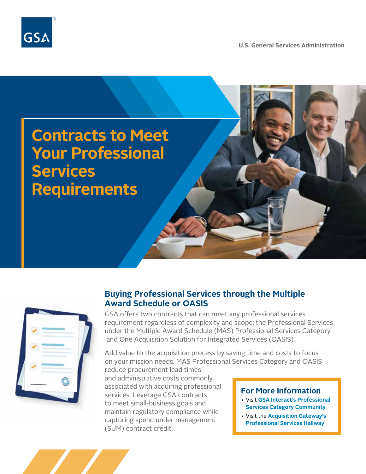

**U.S. General Services Administration**



## **Buying Professional Services through the Multiple Award Schedule or OASIS**

GSA offers two contracts that can meet any professional services requirement regardless of complexity and scope: the Professional Services under the Multiple Award Schedule (MAS) Professional Services Category and One Acquisition Solution for Integrated Services (OASIS).

Add value to the acquisition process by saving time and costs to focus on your mission needs. MAS Professional Services Category and OASIS

reduce procurement lead times and administrative costs commonly associated with acquiring professional services. Leverage GSA contracts to meet small-business goals and maintain regulatory compliance while capturing spend under management (SUM) contract credit.

## **For More Information**

- Visit **[GSA Interact's Professional](https://interact.gsa.gov/groups/professionalservicescategory)  [Services Category Community](https://interact.gsa.gov/groups/professionalservicescategory)**
- Visit the **[Acquisition Gateway's](https://hallways.cap.gsa.gov/app/#/gateway/professional-services)  [Professional Services Hallway](https://hallways.cap.gsa.gov/app/#/gateway/professional-services)**